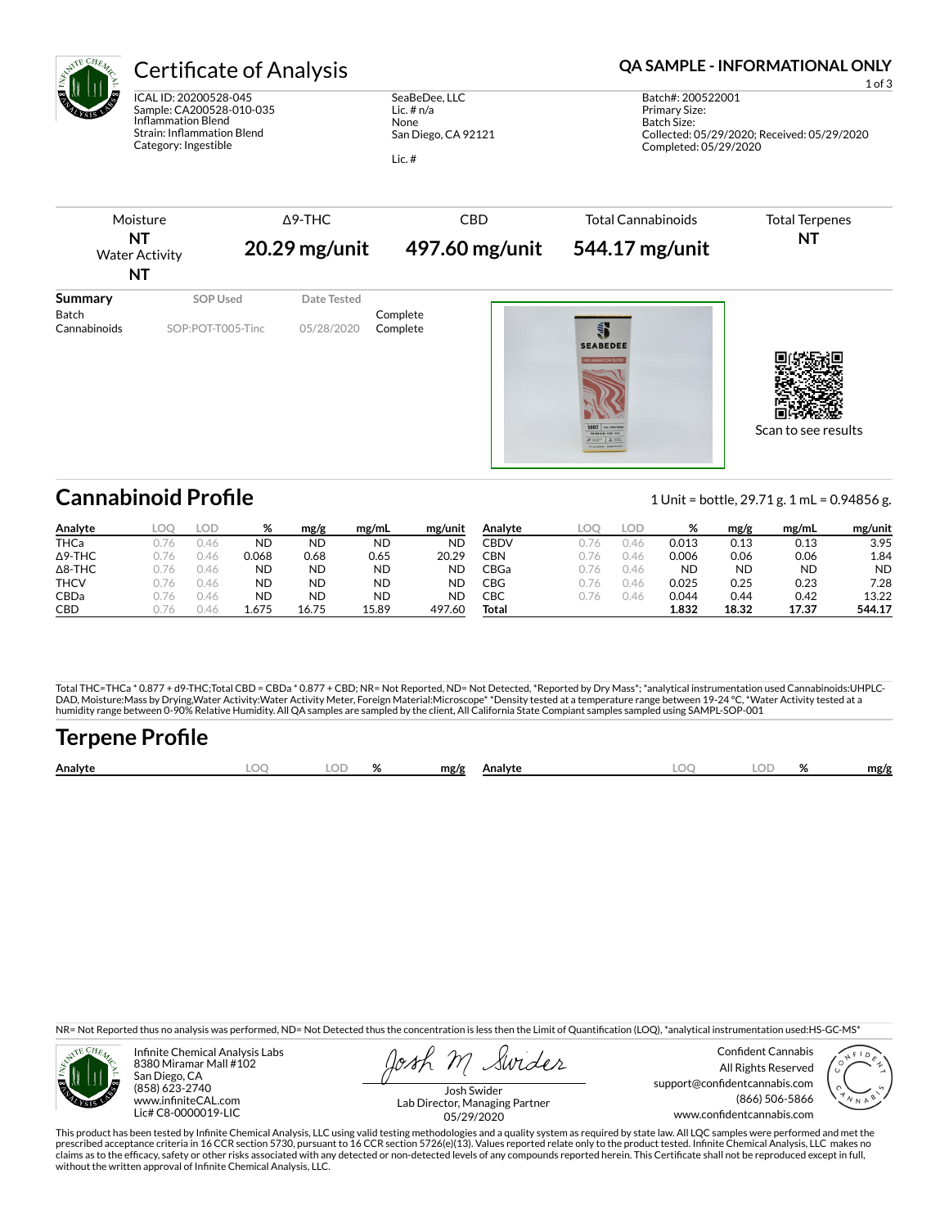

# Certificate of Analysis **Certificate of Analysis QA SAMPLE - INFORMATIONAL ONLY**

ICAL ID: 20200528-045 Sample: CA200528-010-035 Inflammation Blend Strain: Inflammation Blend Category: Ingestible

SeaBeDee, LLC Lic. # n/a None San Diego, CA 92121 Lic. #



| Analyte        | _OC          | LOD  | %         | mg/g      | mg/mL | mg/unit   | Analyte     | LOC. | LOD  | %         | mg/g      | mg/mL | mg/unit   |
|----------------|--------------|------|-----------|-----------|-------|-----------|-------------|------|------|-----------|-----------|-------|-----------|
| <b>THCa</b>    |              | 1.46 | <b>ND</b> | ND        | ΝD    | <b>ND</b> | <b>CBDV</b> |      | J.46 | 0.013     | 0.13      | 0.13  | 3.95      |
| $\Delta$ 9-THC |              | 146  | 0.068     | 0.68      | 0.65  | 20.29     | CBN         | 176  | J.46 | 0.006     | 0.06      | 0.06  | 1.84      |
| $\Delta$ 8-THC |              | ).46 | <b>ND</b> | ND        | ND    | <b>ND</b> | CBGa        | 176  | J.46 | <b>ND</b> | <b>ND</b> | ND    | <b>ND</b> |
| <b>THCV</b>    | 1/6          | ).46 | <b>ND</b> | ND        | ND    | ΝD        | CBG         | 776  | J.46 | 0.025     | 0.25      | 0.23  | 7.28      |
| CBDa           | 1/6          | U.46 | <b>ND</b> | <b>ND</b> | ND    | ND        | СВС         | 1/6  | J.46 | 0.044     | 0.44      | 0.42  | 13.22     |
| <b>CBD</b>     | $1/\sqrt{2}$ | 146  | 1.675     | 16.75     | 15.89 | 497.60    | Total       |      |      | 1.832     | 18.32     | 17.37 | 544.17    |

Total THC=THCa \* 0.877 + d9-THC;Total CBD = CBDa \* 0.877 + CBD; NR= Not Reported, ND= Not Detected, \*Reported by Dry Mass\*; \*analytical instrumentation used Cannabinoids:UHPLC-DAD, Moisture:Mass by Drying,Water Activity:Water Activity Meter, Foreign Material:Microscope\* \*Density tested at a temperature range between 19-24 °C, \*Water Activity tested at a<br>humidity range between 0-90% Relative Humi

# Terpene Profile

| Analyte |  | $\mathbf{a}$ | mg/g | Analvte | ገር<br><b>Dog</b> | 01<br>$\sqrt{2}$ | mg/g |
|---------|--|--------------|------|---------|------------------|------------------|------|
|         |  |              |      |         |                  |                  |      |

NR= Not Reported thus no analysis was performed, ND= Not Detected thus the concentration is less then the Limit of Quantification (LOQ), \*analytical instrumentation used:HS-GC-MS\*



Infinite Chemical Analysis Labs 8380 Miramar Mall #102 San Diego, CA (858) 623-2740 www.infiniteCAL.com Lic# C8-0000019-LIC

Swides

Confident Cannabis All Rights Reserved support@confidentcannabis.com (866) 506-5866 www.confidentcannabis.com



Josh Swider Lab Director, Managing Partner 05/29/2020

This product has been tested by Infinite Chemical Analysis, LLC using valid testing methodologies and a quality system as required by state law. All LQC samples were performed and met the prescribed acceptance criteria in 16 CCR section 5730, pursuant to 16 CCR section 5726(e)(13). Values reported relate only to the product tested. Infinite Chemical Analysis, LLC makes no<br>claims as to the efficacy, safety o without the written approval of Infinite Chemical Analysis, LLC.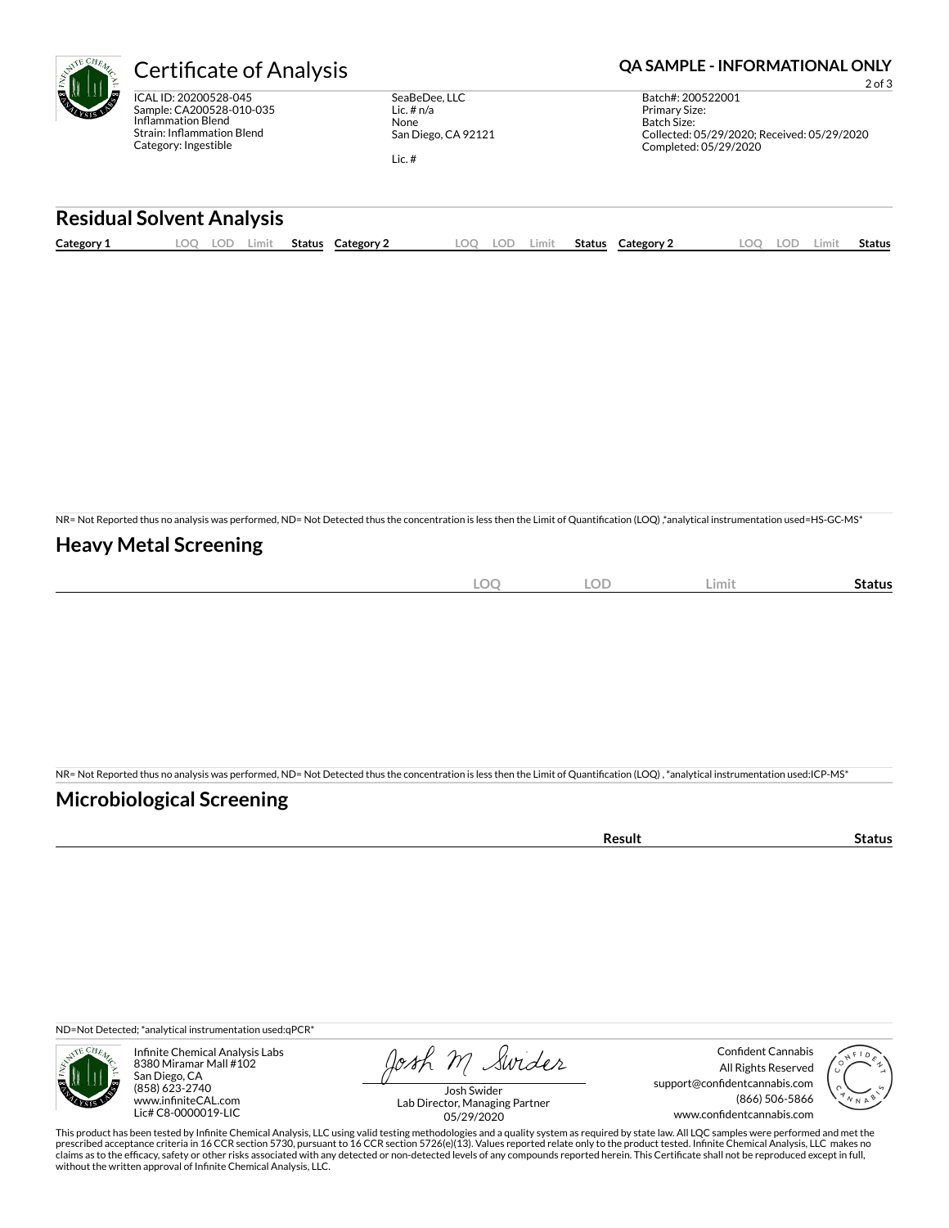ICAL ID: 20200528-045 Sample: CA200528-010-035 Inflammation Blend Strain: Inflammation Blend Category: Ingestible

SeaBeDee, LLC Lic. # n/a None San Diego, CA 92121

Lic. #

### Certificate of Analysis **Certificate of Analysis QA SAMPLE - INFORMATIONAL ONLY**

2 of 3 Batch#: 200522001 Primary Size: Batch Size: Collected: 05/29/2020; Received: 05/29/2020 Completed: 05/29/2020

#### **Residual Solvent Analysis**

| $\sim$<br>Category: | OC | LOP. | .imit | Status | Category | nn | LOF. | Limit | Status | Category $\angle$ | LOD. | -imi* | Status |
|---------------------|----|------|-------|--------|----------|----|------|-------|--------|-------------------|------|-------|--------|
|                     |    |      |       |        |          |    |      |       |        |                   |      |       |        |

NR= Not Reported thus no analysis was performed, ND= Not Detected thus the concentration is less then the Limit of Quantification (LOQ),\*analytical instrumentation used=HS-GC-MS\*

### **Heavy Metal Screening**

| $\sim$<br>$\sim$<br>) (<br>$ \sim$<br>$-$ | OD<br>◡◡ | Limit | Status |
|-------------------------------------------|----------|-------|--------|
|                                           |          |       |        |

NR= Not Reported thus no analysis was performed, ND= Not Detected thus the concentration is less then the Limit of Quantification (LOQ), \*analytical instrumentation used:ICP-MS\*

### **Microbiological Screening**

ND=Not Detected; \*analytical instrumentation used:qPCR\*



Infinite Chemical Analysis Labs 8380 Miramar Mall #102 San Diego, CA (858) 623-2740 www.infiniteCAL.com Lic# C8-0000019-LIC

Josh M Swider

Confident Cannabis All Rights Reserved support@confidentcannabis.com (866) 506-5866 www.confidentcannabis.com



Josh Swider Lab Director, Managing Partner 05/29/2020

This product has been tested by Infinite Chemical Analysis, LLC using valid testing methodologies and a quality system as required by state law. All LQC samples were performed and met the prescribed acceptance criteria in 16 CCR section 5730, pursuant to 16 CCR section 5726(e)(13). Values reported relate only to the product tested. Infinite Chemical Analysis, LLC makes no<br>claims as to the efficacy, safety o without the written approval of Infinite Chemical Analysis, LLC.